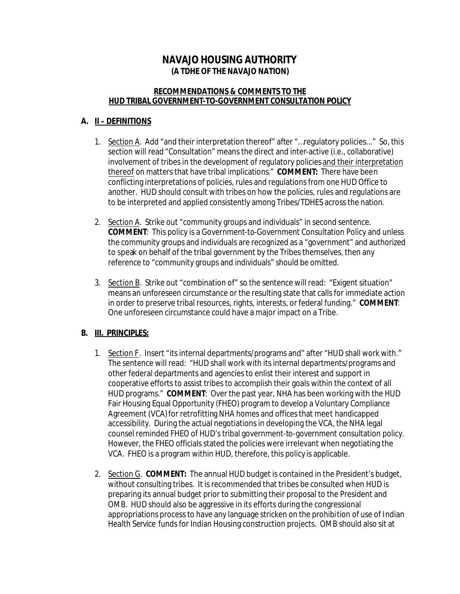# **NAVAJO HOUSING AUTHORITY (A TDHE OF THE NAVAJO NATION)**

#### **RECOMMENDATIONS & COMMENTS TO THE HUD TRIBAL GOVERNMENT-TO-GOVERNMENT CONSULTATION POLICY**

## **A. II – DEFINITIONS**

- 1. Section A. Add "and their interpretation thereof" after "…regulatory policies..." So, this section will read "Consultation" means the direct and inter-active (i.e., collaborative) involvement of tribes in the development of regulatory policies and their interpretation thereof on matters that have tribal implications." **COMMENT:** There have been conflicting interpretations of policies, rules and regulations from one HUD Office to another. HUD should consult with tribes on how the policies, rules and regulations are to be interpreted and applied consistently among Tribes/TDHES across the nation.
- 2. Section A. Strike out "community groups and individuals" in second sentence. **COMMENT**: This policy is a Government-to-Government Consultation Policy and unless the community groups and individuals are recognized as a "government" and authorized to speak on behalf of the tribal government by the Tribes themselves, then any reference to "community groups and individuals" should be omitted.
- 3. Section B. Strike out "combination of" so the sentence will read: "Exigent situation" means an unforeseen circumstance or the resulting state that calls for immediate action in order to preserve tribal resources, rights, interests, or federal funding." **COMMENT**: One unforeseen circumstance could have a major impact on a Tribe.

# **B. III. PRINCIPLES:**

- 1. Section F. Insert "its internal departments/programs and" after "HUD shall work with." The sentence will read: "HUD shall work with its internal departments/programs and other federal departments and agencies to enlist their interest and support in cooperative efforts to assist tribes to accomplish their goals within the context of all HUD programs." **COMMENT**: Over the past year, NHA has been working with the HUD Fair Housing Equal Opportunity (FHEO) program to develop a Voluntary Compliance Agreement (VCA) for retrofitting NHA homes and offices that meet handicapped accessibility. During the actual negotiations in developing the VCA, the NHA legal counsel reminded FHEO of HUD's tribal government-to-government consultation policy. However, the FHEO officials stated the policies were irrelevant when negotiating the VCA. FHEO is a program within HUD, therefore, this policy is applicable.
- 2. Section G. **COMMENT:** The annual HUD budget is contained in the President's budget, without consulting tribes. It is recommended that tribes be consulted when HUD is preparing its annual budget prior to submitting their proposal to the President and OMB. HUD should also be aggressive in its efforts during the congressional appropriations process to have any language stricken on the prohibition of use of Indian Health Service funds for Indian Housing construction projects. OMB should also sit at